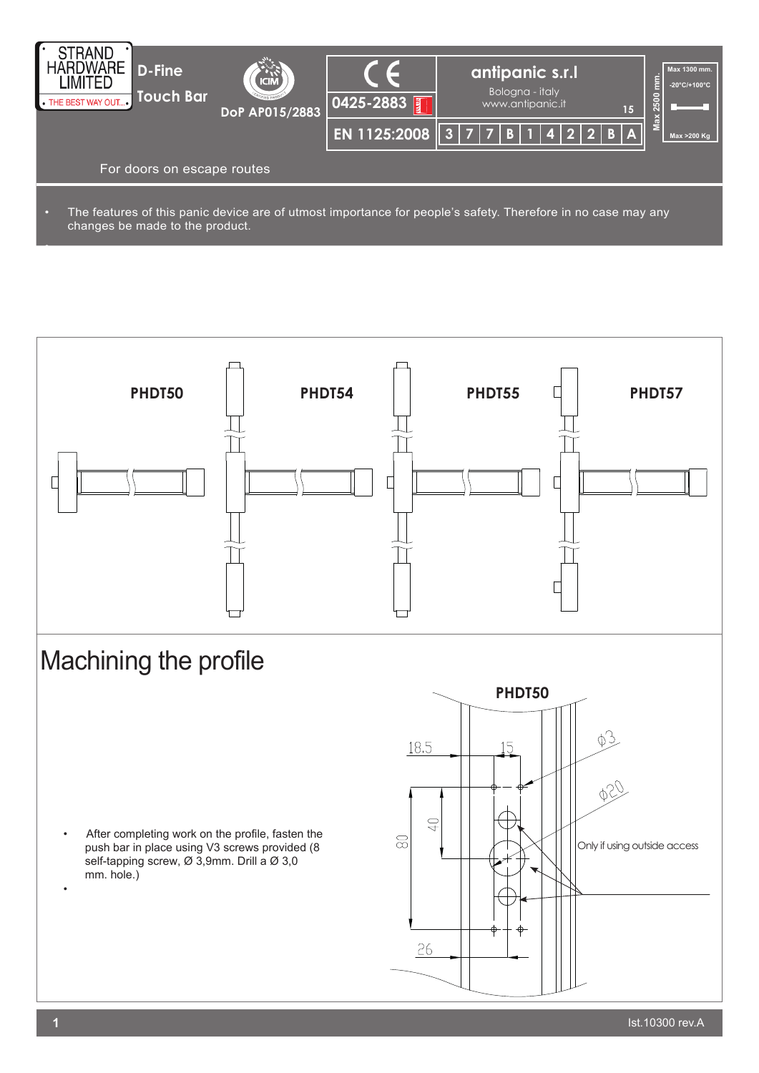

• The features of this panic device are of utmost importance for people's safety. Therefore in no case may any changes be made to the product.



•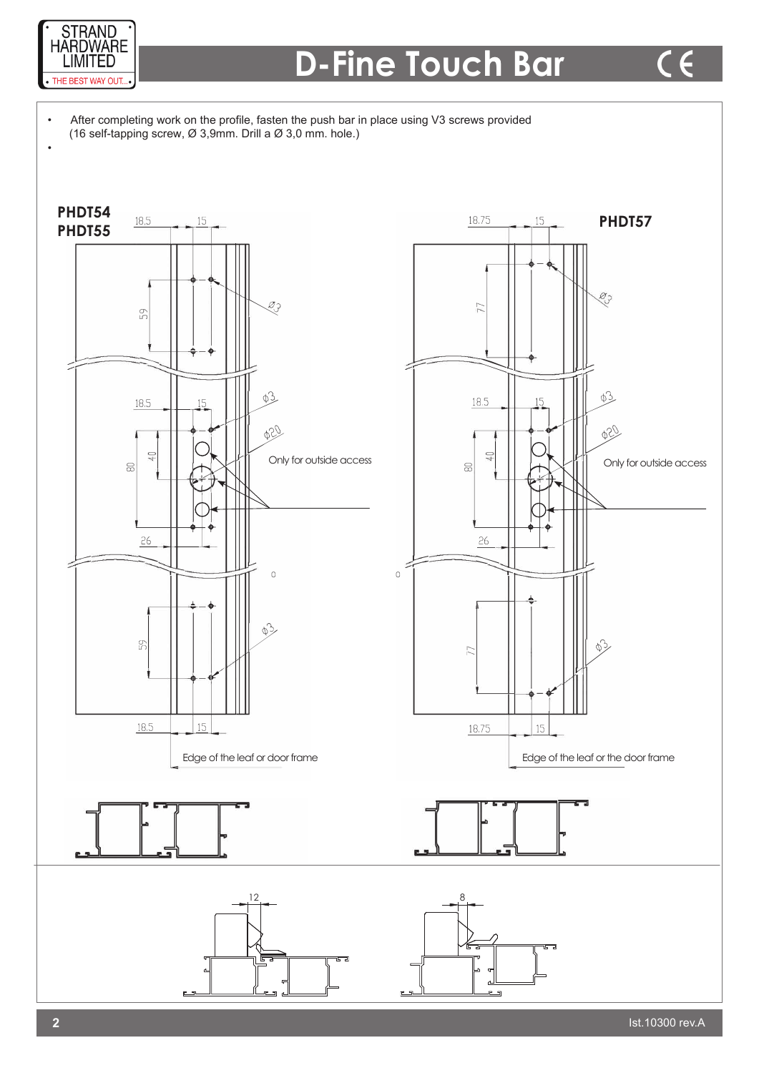

 $\overline{\phantom{a}}$ 

l,

## **D-Fine Touch Bar**

After completing work on the profile, fasten the push bar in place using V3 screws provided (16 self-tapping screw,  $\varnothing$  3,9mm. Drill a  $\varnothing$  3,0 mm. hole.)

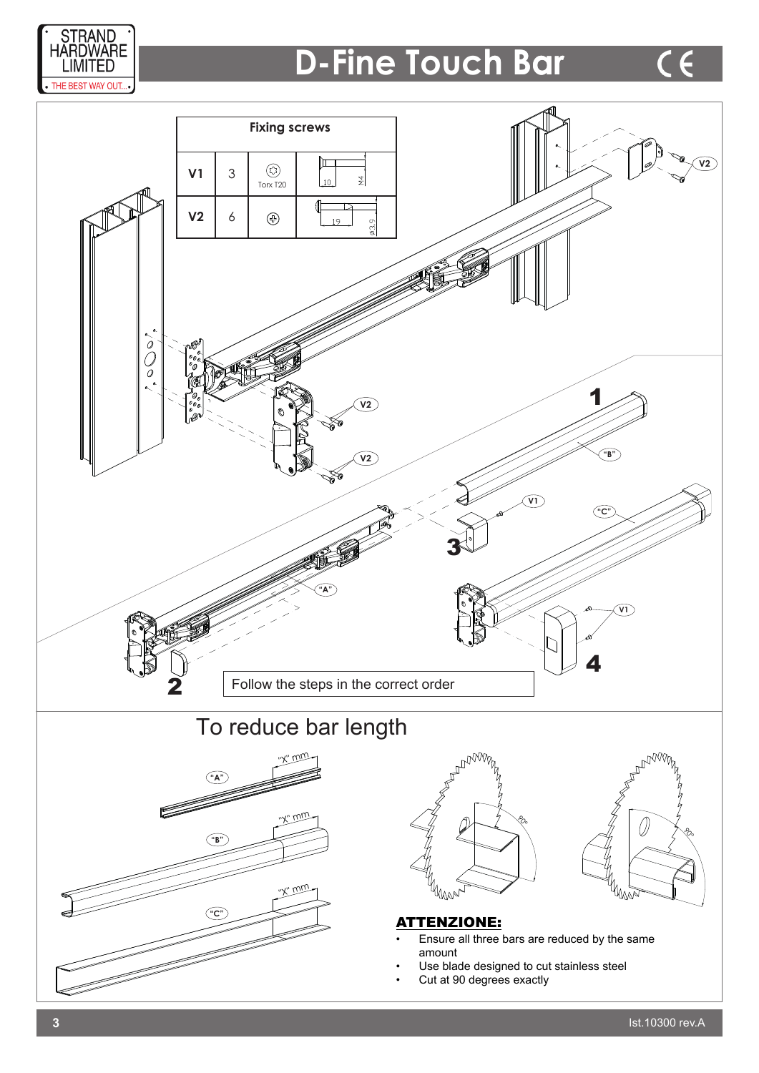

### **D-Fine Touch Bar**

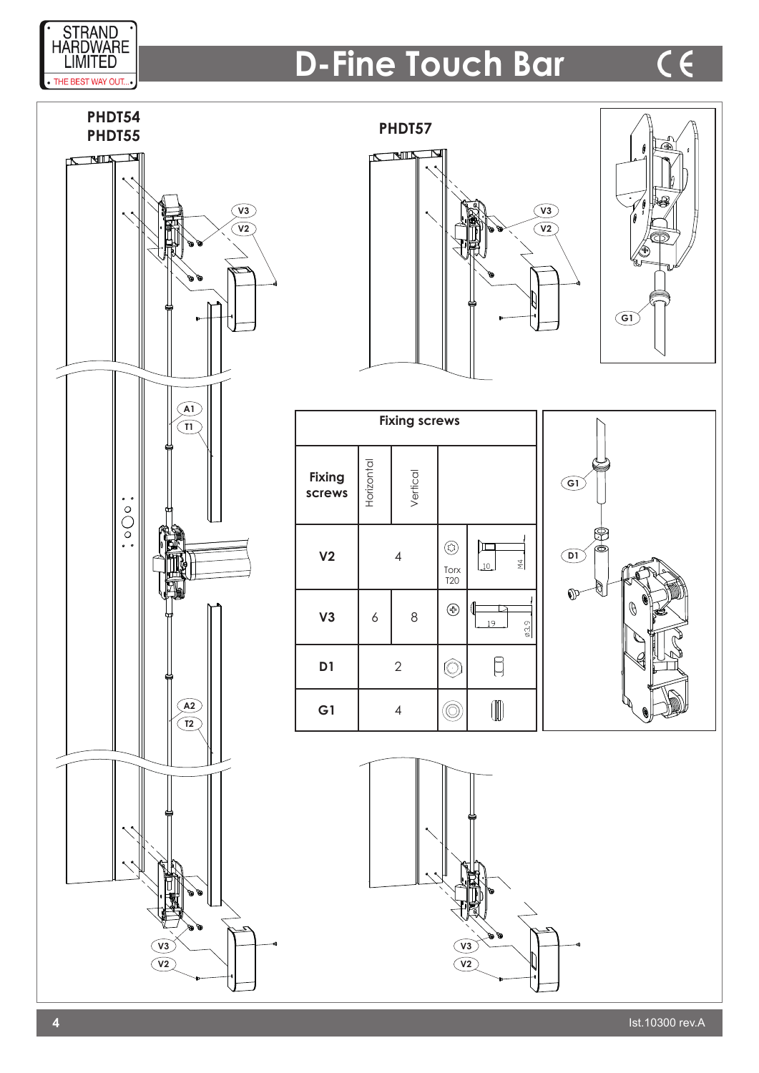

# **D-Fine Touch Bar**









| <b>Fixing screws</b>    |                |          |                         |                     |
|-------------------------|----------------|----------|-------------------------|---------------------|
| <b>Fixing</b><br>screws | Horizontal     | Vertical |                         |                     |
| V <sub>2</sub>          | 4              |          | 皎<br>Torx<br><b>T20</b> | $\frac{4}{2}$<br>10 |
| V3                      | 6              | 8        | ⊛                       | 1<br>19<br>03.9     |
| D1                      | $\overline{2}$ |          | ( ·                     |                     |
| G <sub>1</sub>          | 4              |          |                         |                     |